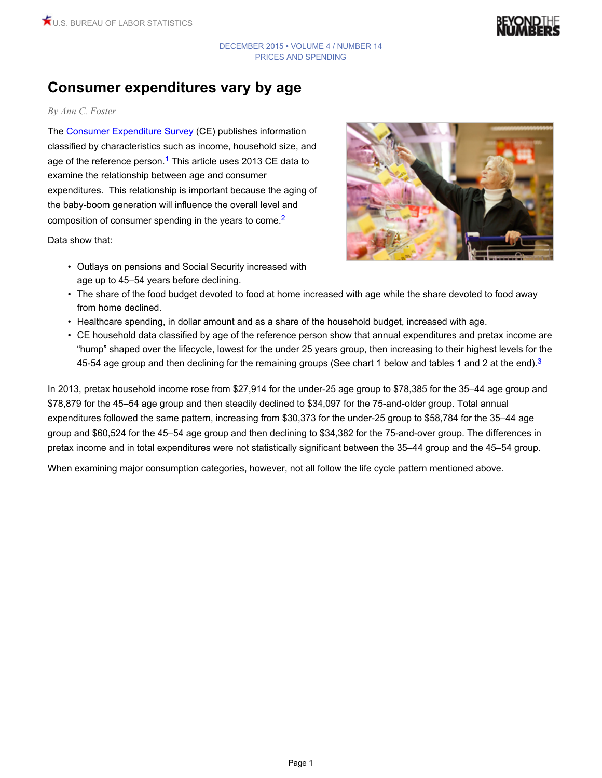

# **Consumer expenditures vary by age**

#### *By Ann C. Foster*

<span id="page-0-0"></span>The [Consumer Expenditure Survey](http://www.bls.gov/cex/) (CE) publishes information classified by characteristics such as income, household size, and age of the reference person.<sup>[1](#page-9-0)</sup> This article uses 2013 CE data to examine the relationship between age and consumer expenditures. This relationship is important because the aging of the baby-boom generation will influence the overall level and composition of consumer spending in the years to come.[2](#page-9-1)

Data show that:

<span id="page-0-2"></span><span id="page-0-1"></span>

- Outlays on pensions and Social Security increased with age up to 45–54 years before declining.
- The share of the food budget devoted to food at home increased with age while the share devoted to food away from home declined.
- Healthcare spending, in dollar amount and as a share of the household budget, increased with age.
- CE household data classified by age of the reference person show that annual expenditures and pretax income are "hump" shaped over the lifecycle, lowest for the under 25 years group, then increasing to their highest levels for the 45-54 age group and then declining for the remaining groups (See chart 1 below and tables 1 and 2 at the end).<sup>[3](#page-10-0)</sup>

In 2013, pretax household income rose from \$27,914 for the under-25 age group to \$78,385 for the 35–44 age group and \$78,879 for the 45–54 age group and then steadily declined to \$34,097 for the 75-and-older group. Total annual expenditures followed the same pattern, increasing from \$30,373 for the under-25 group to \$58,784 for the 35–44 age group and \$60,524 for the 45–54 age group and then declining to \$34,382 for the 75-and-over group. The differences in pretax income and in total expenditures were not statistically significant between the 35–44 group and the 45–54 group.

When examining major consumption categories, however, not all follow the life cycle pattern mentioned above.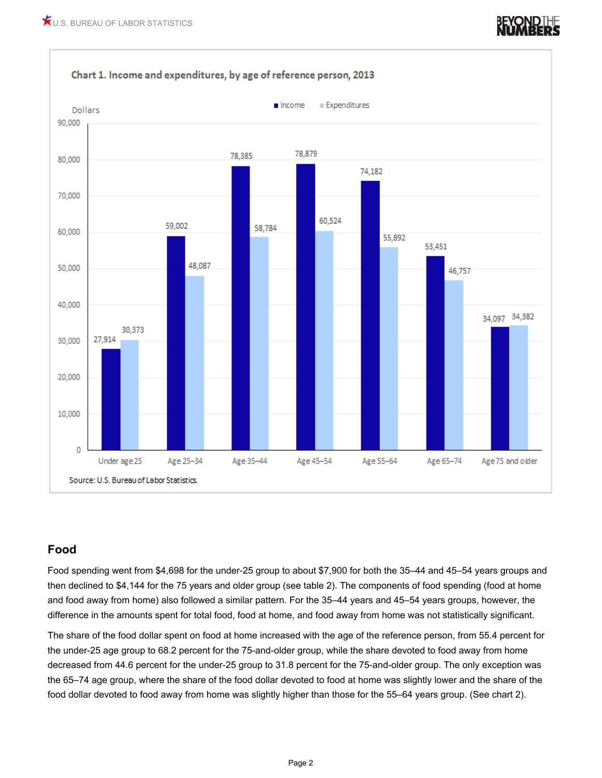

### **Food**

Food spending went from \$4,698 for the under-25 group to about \$7,900 for both the 35–44 and 45–54 years groups and then declined to \$4,144 for the 75 years and older group (see table 2). The components of food spending (food at home and food away from home) also followed a similar pattern. For the 35–44 years and 45–54 years groups, however, the difference in the amounts spent for total food, food at home, and food away from home was not statistically significant.

The share of the food dollar spent on food at home increased with the age of the reference person, from 55.4 percent for the under-25 age group to 68.2 percent for the 75-and-older group, while the share devoted to food away from home decreased from 44.6 percent for the under-25 group to 31.8 percent for the 75-and-older group. The only exception was the 65–74 age group, where the share of the food dollar devoted to food at home was slightly lower and the share of the food dollar devoted to food away from home was slightly higher than those for the 55–64 years group. (See chart 2).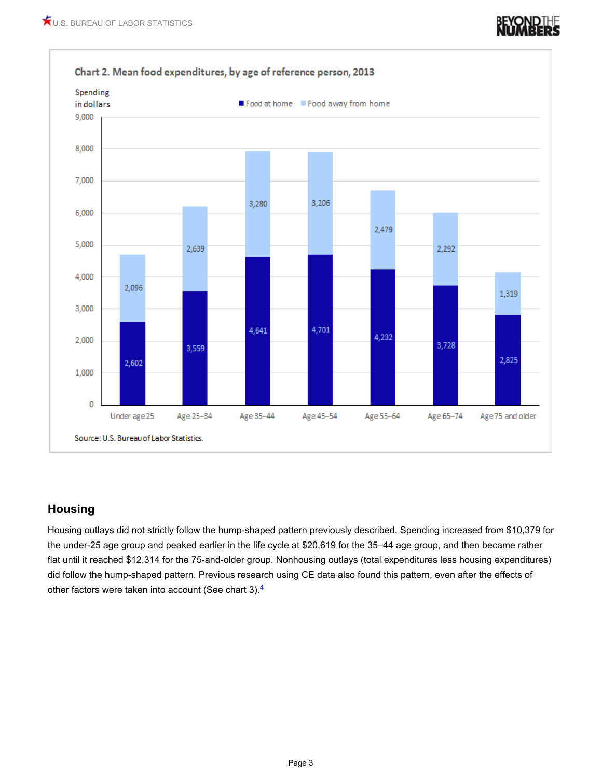

### **Housing**

<span id="page-2-0"></span>Housing outlays did not strictly follow the hump-shaped pattern previously described. Spending increased from \$10,379 for the under-25 age group and peaked earlier in the life cycle at \$20,619 for the 35–44 age group, and then became rather flat until it reached \$12,314 for the 75-and-older group. Nonhousing outlays (total expenditures less housing expenditures) did follow the hump-shaped pattern. Previous research using CE data also found this pattern, even after the effects of other factors were taken into account (See chart 3).<sup>[4](#page-10-1)</sup>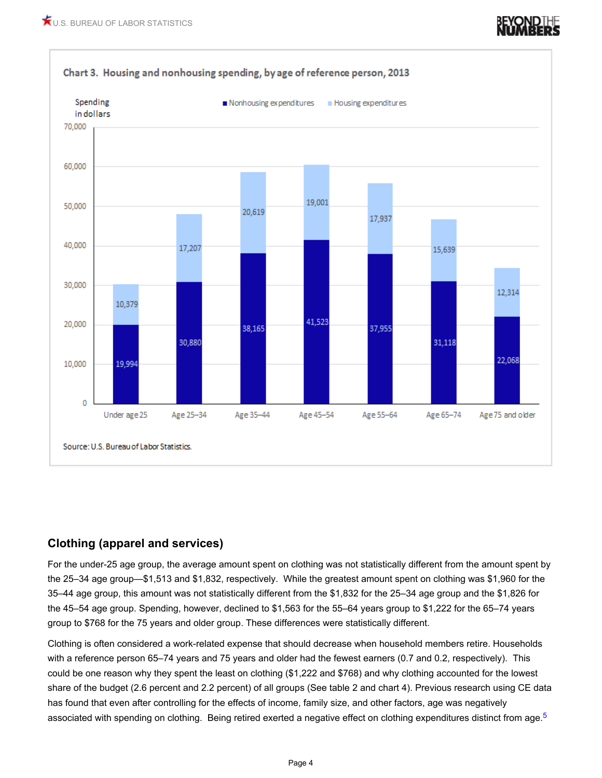

### **Clothing (apparel and services)**

For the under-25 age group, the average amount spent on clothing was not statistically different from the amount spent by the 25–34 age group—\$1,513 and \$1,832, respectively. While the greatest amount spent on clothing was \$1,960 for the 35–44 age group, this amount was not statistically different from the \$1,832 for the 25–34 age group and the \$1,826 for the 45–54 age group. Spending, however, declined to \$1,563 for the 55–64 years group to \$1,222 for the 65–74 years group to \$768 for the 75 years and older group. These differences were statistically different.

<span id="page-3-0"></span>Clothing is often considered a work-related expense that should decrease when household members retire. Households with a reference person 65–74 years and 75 years and older had the fewest earners (0.7 and 0.2, respectively). This could be one reason why they spent the least on clothing (\$1,222 and \$768) and why clothing accounted for the lowest share of the budget (2.6 percent and 2.2 percent) of all groups (See table 2 and chart 4). Previous research using CE data has found that even after controlling for the effects of income, family size, and other factors, age was negatively associated with spending on clothing. Being retired exerted a negative effect on clothing expenditures distinct from age.<sup>[5](#page-10-2)</sup>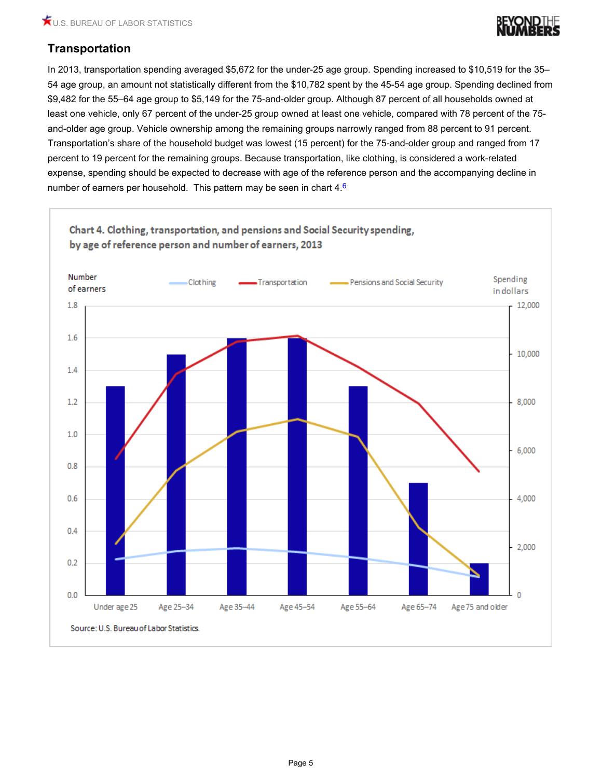<span id="page-4-0"></span>

## **Transportation**

In 2013, transportation spending averaged \$5,672 for the under-25 age group. Spending increased to \$10,519 for the 35– 54 age group, an amount not statistically different from the \$10,782 spent by the 45-54 age group. Spending declined from \$9,482 for the 55–64 age group to \$5,149 for the 75-and-older group. Although 87 percent of all households owned at least one vehicle, only 67 percent of the under-25 group owned at least one vehicle, compared with 78 percent of the 75 and-older age group. Vehicle ownership among the remaining groups narrowly ranged from 88 percent to 91 percent. Transportation's share of the household budget was lowest (15 percent) for the 75-and-older group and ranged from 17 percent to 19 percent for the remaining groups. Because transportation, like clothing, is considered a work-related expense, spending should be expected to decrease with age of the reference person and the accompanying decline in number of earners per household. This pattern may be seen in chart 4.[6](#page-10-3)

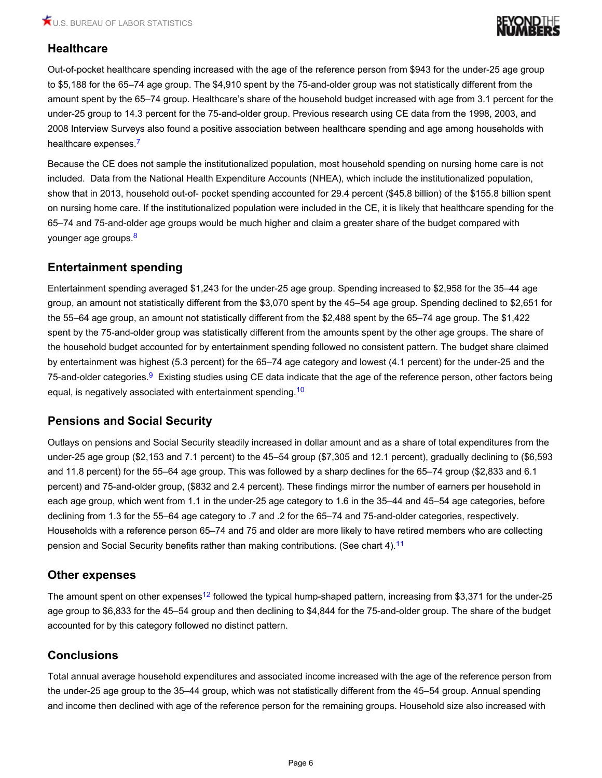

### **Healthcare**

Out-of-pocket healthcare spending increased with the age of the reference person from \$943 for the under-25 age group to \$5,188 for the 65–74 age group. The \$4,910 spent by the 75-and-older group was not statistically different from the amount spent by the 65–74 group. Healthcare's share of the household budget increased with age from 3.1 percent for the under-25 group to 14.3 percent for the 75-and-older group. Previous research using CE data from the 1998, 2003, and 2008 Interview Surveys also found a positive association between healthcare spending and age among households with healthcare expenses.<sup>[7](#page-10-4)</sup>

<span id="page-5-0"></span>Because the CE does not sample the institutionalized population, most household spending on nursing home care is not included. Data from the National Health Expenditure Accounts (NHEA), which include the institutionalized population, show that in 2013, household out-of- pocket spending accounted for 29.4 percent (\$45.8 billion) of the \$155.8 billion spent on nursing home care. If the institutionalized population were included in the CE, it is likely that healthcare spending for the 65–74 and 75-and-older age groups would be much higher and claim a greater share of the budget compared with younger age groups.<sup>[8](#page-10-5)</sup>

### <span id="page-5-1"></span>**Entertainment spending**

Entertainment spending averaged \$1,243 for the under-25 age group. Spending increased to \$2,958 for the 35–44 age group, an amount not statistically different from the \$3,070 spent by the 45–54 age group. Spending declined to \$2,651 for the 55–64 age group, an amount not statistically different from the \$2,488 spent by the 65–74 age group. The \$1,422 spent by the 75-and-older group was statistically different from the amounts spent by the other age groups. The share of the household budget accounted for by entertainment spending followed no consistent pattern. The budget share claimed by entertainment was highest (5.3 percent) for the 65–74 age category and lowest (4.1 percent) for the under-25 and the 75-and-older categories.<sup>[9](#page-11-0)</sup> Existing studies using CE data indicate that the age of the reference person, other factors being equal, is negatively associated with entertainment spending.<sup>[10](#page-11-1)</sup>

### <span id="page-5-3"></span><span id="page-5-2"></span>**Pensions and Social Security**

Outlays on pensions and Social Security steadily increased in dollar amount and as a share of total expenditures from the under-25 age group (\$2,153 and 7.1 percent) to the 45–54 group (\$7,305 and 12.1 percent), gradually declining to (\$6,593 and 11.8 percent) for the 55–64 age group. This was followed by a sharp declines for the 65–74 group (\$2,833 and 6.1 percent) and 75-and-older group, (\$832 and 2.4 percent). These findings mirror the number of earners per household in each age group, which went from 1.1 in the under-25 age category to 1.6 in the 35–44 and 45–54 age categories, before declining from 1.3 for the 55–64 age category to .7 and .2 for the 65–74 and 75-and-older categories, respectively. Households with a reference person 65–74 and 75 and older are more likely to have retired members who are collecting pension and Social Security benefits rather than making contributions. (See chart 4).<sup>[11](#page-11-2)</sup>

### <span id="page-5-4"></span>**Other expenses**

<span id="page-5-5"></span>The amount spent on other expenses<sup>[12](#page-11-3)</sup> followed the typical hump-shaped pattern, increasing from \$3,371 for the under-25 age group to \$6,833 for the 45–54 group and then declining to \$4,844 for the 75-and-older group. The share of the budget accounted for by this category followed no distinct pattern.

### **Conclusions**

Total annual average household expenditures and associated income increased with the age of the reference person from the under-25 age group to the 35–44 group, which was not statistically different from the 45–54 group. Annual spending and income then declined with age of the reference person for the remaining groups. Household size also increased with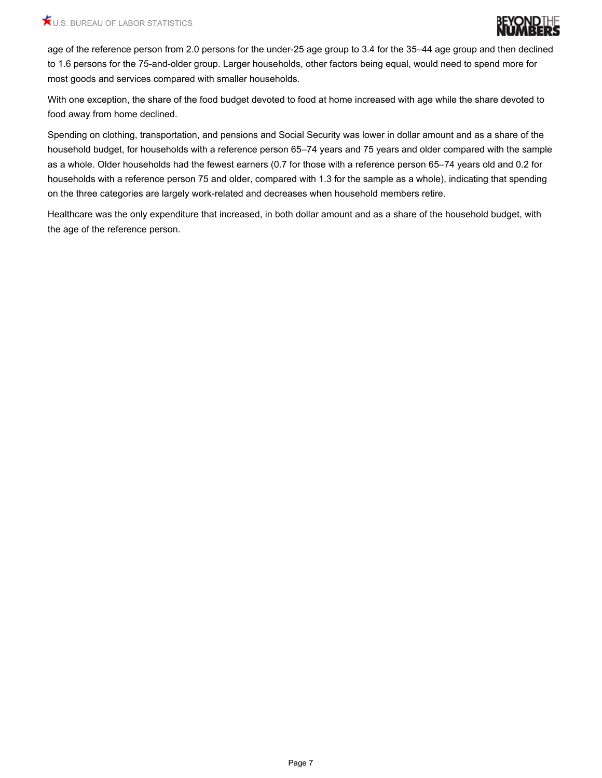

age of the reference person from 2.0 persons for the under-25 age group to 3.4 for the 35–44 age group and then declined to 1.6 persons for the 75-and-older group. Larger households, other factors being equal, would need to spend more for most goods and services compared with smaller households.

With one exception, the share of the food budget devoted to food at home increased with age while the share devoted to food away from home declined.

Spending on clothing, transportation, and pensions and Social Security was lower in dollar amount and as a share of the household budget, for households with a reference person 65–74 years and 75 years and older compared with the sample as a whole. Older households had the fewest earners (0.7 for those with a reference person 65–74 years old and 0.2 for households with a reference person 75 and older, compared with 1.3 for the sample as a whole), indicating that spending on the three categories are largely work-related and decreases when household members retire.

Healthcare was the only expenditure that increased, in both dollar amount and as a share of the household budget, with the age of the reference person.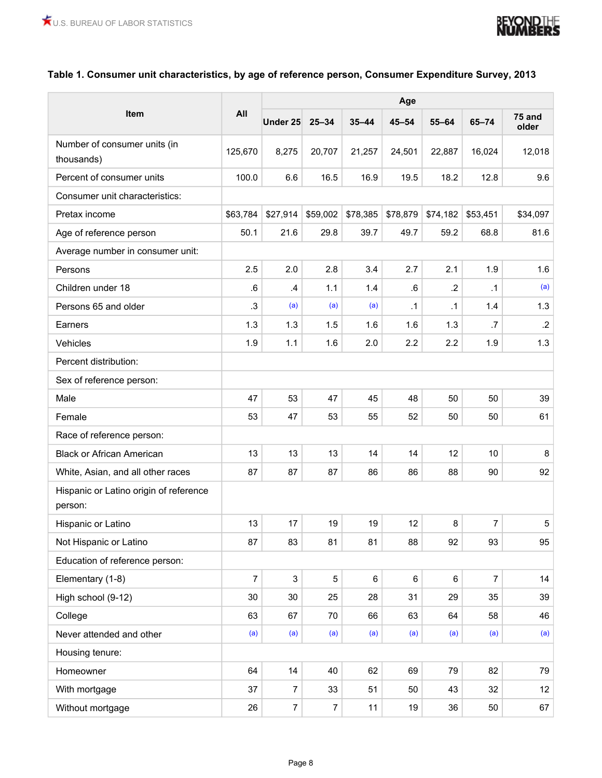

#### **Table 1. Consumer unit characteristics, by age of reference person, Consumer Expenditure Survey, 2013**

<span id="page-7-0"></span>

| <b>Item</b><br><b>75 and</b><br>Under 25 25-34<br>$35 - 44$<br>$45 - 54$<br>$55 - 64$<br>$65 - 74$<br>older<br>Number of consumer units (in<br>125,670<br>8,275<br>20,707<br>21,257<br>24,501<br>22,887<br>16,024<br>12,018<br>thousands)<br>6.6<br>19.5<br>18.2<br>Percent of consumer units<br>100.0<br>16.5<br>16.9<br>12.8<br>9.6<br>Consumer unit characteristics:<br>\$27,914<br>\$59,002<br>\$78,385<br>\$78,879<br>\$63,784<br>\$74,182<br>\$53,451<br>\$34,097<br>Pretax income<br>50.1<br>21.6<br>29.8<br>39.7<br>49.7<br>59.2<br>68.8<br>81.6<br>Age of reference person<br>Average number in consumer unit:<br>2.5<br>2.0<br>2.8<br>3.4<br>2.7<br>2.1<br>1.9<br>1.6<br>Persons<br>${\bf .6}$<br>(a)<br>Children under 18<br>.6<br>$\mathcal{A}$<br>1.1<br>1.4<br>.2<br>$\cdot$ 1<br>(a)<br>Persons 65 and older<br>$\cdot$ 3<br>(a)<br>(a)<br>$\cdot$ 1<br>1.4<br>$\cdot$ 1<br>1.3<br>1.3<br>1.3<br>1.6<br>1.3<br>.7<br>$\mathbf{.2}$<br>1.5<br>1.6<br>Earners<br>2.2<br>1.9<br>1.1<br>1.6<br>2.0<br>2.2<br>1.9<br>1.3<br>Vehicles<br>Percent distribution:<br>Sex of reference person:<br>47<br>53<br>47<br>45<br>48<br>50<br>50<br>39<br>Male<br>53<br>47<br>53<br>55<br>52<br>50<br>61<br>Female<br>50<br>Race of reference person:<br><b>Black or African American</b><br>13<br>13<br>13<br>14<br>14<br>12<br>10<br>8<br>87<br>87<br>87<br>86<br>88<br>90<br>92<br>86<br>White, Asian, and all other races<br>Hispanic or Latino origin of reference<br>person:<br>17<br>12<br>8<br>$\overline{7}$<br>13<br>19<br>19<br>5<br>Hispanic or Latino<br>93<br>87<br>83<br>81<br>81<br>88<br>92<br>95<br>Not Hispanic or Latino<br>Education of reference person:<br>$\mathbf 5$<br>6<br>$\,6\,$<br>$\overline{7}$<br>3<br>Elementary (1-8)<br>6<br>$\overline{7}$<br>14<br>31<br>35<br>High school (9-12)<br>30<br>30<br>25<br>28<br>29<br>39<br>63<br>College<br>67<br>70<br>66<br>63<br>64<br>58<br>46<br>(a)<br>(a)<br>(a)<br>(a)<br>(a)<br>(a)<br>(a)<br>(a)<br>Never attended and other<br>Housing tenure:<br>64<br>14<br>40<br>62<br>69<br>82<br>79<br>79<br>Homeowner<br>$\overline{7}$<br>37<br>33<br>51<br>50<br>32<br>12<br>With mortgage<br>43<br>$\overline{7}$<br>$\overline{7}$<br>67<br>26<br>11<br>19<br>36<br>50 |                  | All | Age |  |  |  |  |  |  |  |  |
|----------------------------------------------------------------------------------------------------------------------------------------------------------------------------------------------------------------------------------------------------------------------------------------------------------------------------------------------------------------------------------------------------------------------------------------------------------------------------------------------------------------------------------------------------------------------------------------------------------------------------------------------------------------------------------------------------------------------------------------------------------------------------------------------------------------------------------------------------------------------------------------------------------------------------------------------------------------------------------------------------------------------------------------------------------------------------------------------------------------------------------------------------------------------------------------------------------------------------------------------------------------------------------------------------------------------------------------------------------------------------------------------------------------------------------------------------------------------------------------------------------------------------------------------------------------------------------------------------------------------------------------------------------------------------------------------------------------------------------------------------------------------------------------------------------------------------------------------------------------------------------------------------------------------------------------------------------------------------------------------------------------------------------------------------------------------------------------------------------------------------------------------------------------------------------------------------------------------------------------------|------------------|-----|-----|--|--|--|--|--|--|--|--|
|                                                                                                                                                                                                                                                                                                                                                                                                                                                                                                                                                                                                                                                                                                                                                                                                                                                                                                                                                                                                                                                                                                                                                                                                                                                                                                                                                                                                                                                                                                                                                                                                                                                                                                                                                                                                                                                                                                                                                                                                                                                                                                                                                                                                                                              |                  |     |     |  |  |  |  |  |  |  |  |
|                                                                                                                                                                                                                                                                                                                                                                                                                                                                                                                                                                                                                                                                                                                                                                                                                                                                                                                                                                                                                                                                                                                                                                                                                                                                                                                                                                                                                                                                                                                                                                                                                                                                                                                                                                                                                                                                                                                                                                                                                                                                                                                                                                                                                                              |                  |     |     |  |  |  |  |  |  |  |  |
|                                                                                                                                                                                                                                                                                                                                                                                                                                                                                                                                                                                                                                                                                                                                                                                                                                                                                                                                                                                                                                                                                                                                                                                                                                                                                                                                                                                                                                                                                                                                                                                                                                                                                                                                                                                                                                                                                                                                                                                                                                                                                                                                                                                                                                              |                  |     |     |  |  |  |  |  |  |  |  |
|                                                                                                                                                                                                                                                                                                                                                                                                                                                                                                                                                                                                                                                                                                                                                                                                                                                                                                                                                                                                                                                                                                                                                                                                                                                                                                                                                                                                                                                                                                                                                                                                                                                                                                                                                                                                                                                                                                                                                                                                                                                                                                                                                                                                                                              |                  |     |     |  |  |  |  |  |  |  |  |
|                                                                                                                                                                                                                                                                                                                                                                                                                                                                                                                                                                                                                                                                                                                                                                                                                                                                                                                                                                                                                                                                                                                                                                                                                                                                                                                                                                                                                                                                                                                                                                                                                                                                                                                                                                                                                                                                                                                                                                                                                                                                                                                                                                                                                                              |                  |     |     |  |  |  |  |  |  |  |  |
|                                                                                                                                                                                                                                                                                                                                                                                                                                                                                                                                                                                                                                                                                                                                                                                                                                                                                                                                                                                                                                                                                                                                                                                                                                                                                                                                                                                                                                                                                                                                                                                                                                                                                                                                                                                                                                                                                                                                                                                                                                                                                                                                                                                                                                              |                  |     |     |  |  |  |  |  |  |  |  |
|                                                                                                                                                                                                                                                                                                                                                                                                                                                                                                                                                                                                                                                                                                                                                                                                                                                                                                                                                                                                                                                                                                                                                                                                                                                                                                                                                                                                                                                                                                                                                                                                                                                                                                                                                                                                                                                                                                                                                                                                                                                                                                                                                                                                                                              |                  |     |     |  |  |  |  |  |  |  |  |
|                                                                                                                                                                                                                                                                                                                                                                                                                                                                                                                                                                                                                                                                                                                                                                                                                                                                                                                                                                                                                                                                                                                                                                                                                                                                                                                                                                                                                                                                                                                                                                                                                                                                                                                                                                                                                                                                                                                                                                                                                                                                                                                                                                                                                                              |                  |     |     |  |  |  |  |  |  |  |  |
|                                                                                                                                                                                                                                                                                                                                                                                                                                                                                                                                                                                                                                                                                                                                                                                                                                                                                                                                                                                                                                                                                                                                                                                                                                                                                                                                                                                                                                                                                                                                                                                                                                                                                                                                                                                                                                                                                                                                                                                                                                                                                                                                                                                                                                              |                  |     |     |  |  |  |  |  |  |  |  |
|                                                                                                                                                                                                                                                                                                                                                                                                                                                                                                                                                                                                                                                                                                                                                                                                                                                                                                                                                                                                                                                                                                                                                                                                                                                                                                                                                                                                                                                                                                                                                                                                                                                                                                                                                                                                                                                                                                                                                                                                                                                                                                                                                                                                                                              |                  |     |     |  |  |  |  |  |  |  |  |
|                                                                                                                                                                                                                                                                                                                                                                                                                                                                                                                                                                                                                                                                                                                                                                                                                                                                                                                                                                                                                                                                                                                                                                                                                                                                                                                                                                                                                                                                                                                                                                                                                                                                                                                                                                                                                                                                                                                                                                                                                                                                                                                                                                                                                                              |                  |     |     |  |  |  |  |  |  |  |  |
|                                                                                                                                                                                                                                                                                                                                                                                                                                                                                                                                                                                                                                                                                                                                                                                                                                                                                                                                                                                                                                                                                                                                                                                                                                                                                                                                                                                                                                                                                                                                                                                                                                                                                                                                                                                                                                                                                                                                                                                                                                                                                                                                                                                                                                              |                  |     |     |  |  |  |  |  |  |  |  |
|                                                                                                                                                                                                                                                                                                                                                                                                                                                                                                                                                                                                                                                                                                                                                                                                                                                                                                                                                                                                                                                                                                                                                                                                                                                                                                                                                                                                                                                                                                                                                                                                                                                                                                                                                                                                                                                                                                                                                                                                                                                                                                                                                                                                                                              |                  |     |     |  |  |  |  |  |  |  |  |
|                                                                                                                                                                                                                                                                                                                                                                                                                                                                                                                                                                                                                                                                                                                                                                                                                                                                                                                                                                                                                                                                                                                                                                                                                                                                                                                                                                                                                                                                                                                                                                                                                                                                                                                                                                                                                                                                                                                                                                                                                                                                                                                                                                                                                                              |                  |     |     |  |  |  |  |  |  |  |  |
|                                                                                                                                                                                                                                                                                                                                                                                                                                                                                                                                                                                                                                                                                                                                                                                                                                                                                                                                                                                                                                                                                                                                                                                                                                                                                                                                                                                                                                                                                                                                                                                                                                                                                                                                                                                                                                                                                                                                                                                                                                                                                                                                                                                                                                              |                  |     |     |  |  |  |  |  |  |  |  |
|                                                                                                                                                                                                                                                                                                                                                                                                                                                                                                                                                                                                                                                                                                                                                                                                                                                                                                                                                                                                                                                                                                                                                                                                                                                                                                                                                                                                                                                                                                                                                                                                                                                                                                                                                                                                                                                                                                                                                                                                                                                                                                                                                                                                                                              |                  |     |     |  |  |  |  |  |  |  |  |
|                                                                                                                                                                                                                                                                                                                                                                                                                                                                                                                                                                                                                                                                                                                                                                                                                                                                                                                                                                                                                                                                                                                                                                                                                                                                                                                                                                                                                                                                                                                                                                                                                                                                                                                                                                                                                                                                                                                                                                                                                                                                                                                                                                                                                                              |                  |     |     |  |  |  |  |  |  |  |  |
|                                                                                                                                                                                                                                                                                                                                                                                                                                                                                                                                                                                                                                                                                                                                                                                                                                                                                                                                                                                                                                                                                                                                                                                                                                                                                                                                                                                                                                                                                                                                                                                                                                                                                                                                                                                                                                                                                                                                                                                                                                                                                                                                                                                                                                              |                  |     |     |  |  |  |  |  |  |  |  |
|                                                                                                                                                                                                                                                                                                                                                                                                                                                                                                                                                                                                                                                                                                                                                                                                                                                                                                                                                                                                                                                                                                                                                                                                                                                                                                                                                                                                                                                                                                                                                                                                                                                                                                                                                                                                                                                                                                                                                                                                                                                                                                                                                                                                                                              |                  |     |     |  |  |  |  |  |  |  |  |
|                                                                                                                                                                                                                                                                                                                                                                                                                                                                                                                                                                                                                                                                                                                                                                                                                                                                                                                                                                                                                                                                                                                                                                                                                                                                                                                                                                                                                                                                                                                                                                                                                                                                                                                                                                                                                                                                                                                                                                                                                                                                                                                                                                                                                                              |                  |     |     |  |  |  |  |  |  |  |  |
|                                                                                                                                                                                                                                                                                                                                                                                                                                                                                                                                                                                                                                                                                                                                                                                                                                                                                                                                                                                                                                                                                                                                                                                                                                                                                                                                                                                                                                                                                                                                                                                                                                                                                                                                                                                                                                                                                                                                                                                                                                                                                                                                                                                                                                              |                  |     |     |  |  |  |  |  |  |  |  |
|                                                                                                                                                                                                                                                                                                                                                                                                                                                                                                                                                                                                                                                                                                                                                                                                                                                                                                                                                                                                                                                                                                                                                                                                                                                                                                                                                                                                                                                                                                                                                                                                                                                                                                                                                                                                                                                                                                                                                                                                                                                                                                                                                                                                                                              |                  |     |     |  |  |  |  |  |  |  |  |
|                                                                                                                                                                                                                                                                                                                                                                                                                                                                                                                                                                                                                                                                                                                                                                                                                                                                                                                                                                                                                                                                                                                                                                                                                                                                                                                                                                                                                                                                                                                                                                                                                                                                                                                                                                                                                                                                                                                                                                                                                                                                                                                                                                                                                                              |                  |     |     |  |  |  |  |  |  |  |  |
|                                                                                                                                                                                                                                                                                                                                                                                                                                                                                                                                                                                                                                                                                                                                                                                                                                                                                                                                                                                                                                                                                                                                                                                                                                                                                                                                                                                                                                                                                                                                                                                                                                                                                                                                                                                                                                                                                                                                                                                                                                                                                                                                                                                                                                              |                  |     |     |  |  |  |  |  |  |  |  |
|                                                                                                                                                                                                                                                                                                                                                                                                                                                                                                                                                                                                                                                                                                                                                                                                                                                                                                                                                                                                                                                                                                                                                                                                                                                                                                                                                                                                                                                                                                                                                                                                                                                                                                                                                                                                                                                                                                                                                                                                                                                                                                                                                                                                                                              |                  |     |     |  |  |  |  |  |  |  |  |
|                                                                                                                                                                                                                                                                                                                                                                                                                                                                                                                                                                                                                                                                                                                                                                                                                                                                                                                                                                                                                                                                                                                                                                                                                                                                                                                                                                                                                                                                                                                                                                                                                                                                                                                                                                                                                                                                                                                                                                                                                                                                                                                                                                                                                                              |                  |     |     |  |  |  |  |  |  |  |  |
|                                                                                                                                                                                                                                                                                                                                                                                                                                                                                                                                                                                                                                                                                                                                                                                                                                                                                                                                                                                                                                                                                                                                                                                                                                                                                                                                                                                                                                                                                                                                                                                                                                                                                                                                                                                                                                                                                                                                                                                                                                                                                                                                                                                                                                              |                  |     |     |  |  |  |  |  |  |  |  |
|                                                                                                                                                                                                                                                                                                                                                                                                                                                                                                                                                                                                                                                                                                                                                                                                                                                                                                                                                                                                                                                                                                                                                                                                                                                                                                                                                                                                                                                                                                                                                                                                                                                                                                                                                                                                                                                                                                                                                                                                                                                                                                                                                                                                                                              |                  |     |     |  |  |  |  |  |  |  |  |
|                                                                                                                                                                                                                                                                                                                                                                                                                                                                                                                                                                                                                                                                                                                                                                                                                                                                                                                                                                                                                                                                                                                                                                                                                                                                                                                                                                                                                                                                                                                                                                                                                                                                                                                                                                                                                                                                                                                                                                                                                                                                                                                                                                                                                                              |                  |     |     |  |  |  |  |  |  |  |  |
|                                                                                                                                                                                                                                                                                                                                                                                                                                                                                                                                                                                                                                                                                                                                                                                                                                                                                                                                                                                                                                                                                                                                                                                                                                                                                                                                                                                                                                                                                                                                                                                                                                                                                                                                                                                                                                                                                                                                                                                                                                                                                                                                                                                                                                              |                  |     |     |  |  |  |  |  |  |  |  |
|                                                                                                                                                                                                                                                                                                                                                                                                                                                                                                                                                                                                                                                                                                                                                                                                                                                                                                                                                                                                                                                                                                                                                                                                                                                                                                                                                                                                                                                                                                                                                                                                                                                                                                                                                                                                                                                                                                                                                                                                                                                                                                                                                                                                                                              | Without mortgage |     |     |  |  |  |  |  |  |  |  |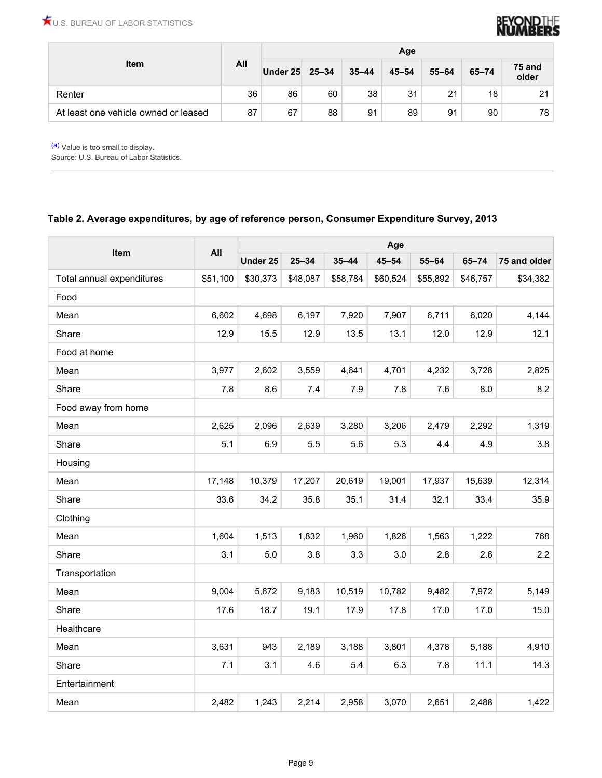

|                                      |     | Age      |           |           |           |           |           |                 |  |
|--------------------------------------|-----|----------|-----------|-----------|-----------|-----------|-----------|-----------------|--|
| <b>Item</b>                          | All | Under 25 | $25 - 34$ | $35 - 44$ | $45 - 54$ | $55 - 64$ | $65 - 74$ | 75 and<br>older |  |
| Renter                               | 36  | 86       | 60        | 38        | 31        | 21        | 18        | 21              |  |
| At least one vehicle owned or leased | 87  | 67       | 88        | 91        | 89        | 91        | 90        | 78              |  |

[\(a\)](#page-7-0) Value is too small to display.

Source: U.S. Bureau of Labor Statistics.

#### **Table 2. Average expenditures, by age of reference person, Consumer Expenditure Survey, 2013**

| Item                      | All      | Age      |           |           |           |           |           |              |  |  |
|---------------------------|----------|----------|-----------|-----------|-----------|-----------|-----------|--------------|--|--|
|                           |          | Under 25 | $25 - 34$ | $35 - 44$ | $45 - 54$ | $55 - 64$ | $65 - 74$ | 75 and older |  |  |
| Total annual expenditures | \$51,100 | \$30,373 | \$48,087  | \$58,784  | \$60,524  | \$55,892  | \$46,757  | \$34,382     |  |  |
| Food                      |          |          |           |           |           |           |           |              |  |  |
| Mean                      | 6,602    | 4,698    | 6,197     | 7,920     | 7,907     | 6,711     | 6,020     | 4,144        |  |  |
| Share                     | 12.9     | 15.5     | 12.9      | 13.5      | 13.1      | 12.0      | 12.9      | 12.1         |  |  |
| Food at home              |          |          |           |           |           |           |           |              |  |  |
| Mean                      | 3,977    | 2,602    | 3,559     | 4,641     | 4,701     | 4,232     | 3,728     | 2,825        |  |  |
| Share                     | 7.8      | 8.6      | $7.4$     | 7.9       | $7.8$     | 7.6       | 8.0       | 8.2          |  |  |
| Food away from home       |          |          |           |           |           |           |           |              |  |  |
| Mean                      | 2,625    | 2,096    | 2,639     | 3,280     | 3,206     | 2,479     | 2,292     | 1,319        |  |  |
| Share                     | 5.1      | 6.9      | 5.5       | 5.6       | 5.3       | 4.4       | 4.9       | 3.8          |  |  |
| Housing                   |          |          |           |           |           |           |           |              |  |  |
| Mean                      | 17,148   | 10,379   | 17,207    | 20,619    | 19,001    | 17,937    | 15,639    | 12,314       |  |  |
| Share                     | 33.6     | 34.2     | 35.8      | 35.1      | 31.4      | 32.1      | 33.4      | 35.9         |  |  |
| Clothing                  |          |          |           |           |           |           |           |              |  |  |
| Mean                      | 1,604    | 1,513    | 1,832     | 1,960     | 1,826     | 1,563     | 1,222     | 768          |  |  |
| Share                     | 3.1      | $5.0\,$  | 3.8       | 3.3       | $3.0\,$   | 2.8       | 2.6       | $2.2\,$      |  |  |
| Transportation            |          |          |           |           |           |           |           |              |  |  |
| Mean                      | 9,004    | 5,672    | 9,183     | 10,519    | 10,782    | 9,482     | 7,972     | 5,149        |  |  |
| Share                     | 17.6     | 18.7     | 19.1      | 17.9      | 17.8      | 17.0      | 17.0      | 15.0         |  |  |
| Healthcare                |          |          |           |           |           |           |           |              |  |  |
| Mean                      | 3,631    | 943      | 2,189     | 3,188     | 3,801     | 4,378     | 5,188     | 4,910        |  |  |
| Share                     | 7.1      | 3.1      | 4.6       | 5.4       | 6.3       | 7.8       | 11.1      | 14.3         |  |  |
| Entertainment             |          |          |           |           |           |           |           |              |  |  |
| Mean                      | 2,482    | 1,243    | 2,214     | 2,958     | 3,070     | 2,651     | 2,488     | 1,422        |  |  |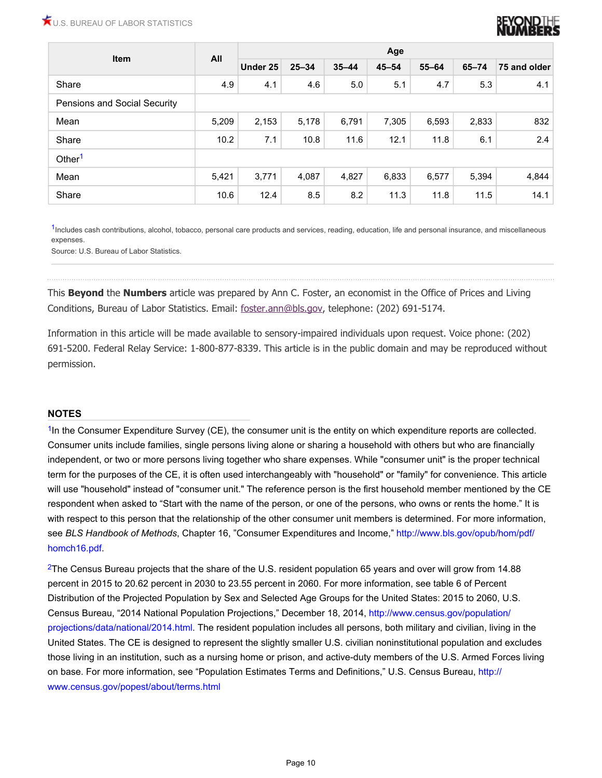

| Item                         | All   | Age      |           |           |           |           |           |              |  |  |
|------------------------------|-------|----------|-----------|-----------|-----------|-----------|-----------|--------------|--|--|
|                              |       | Under 25 | $25 - 34$ | $35 - 44$ | $45 - 54$ | $55 - 64$ | $65 - 74$ | 75 and older |  |  |
| Share                        | 4.9   | 4.1      | 4.6       | 5.0       | 5.1       | 4.7       | 5.3       | 4.1          |  |  |
| Pensions and Social Security |       |          |           |           |           |           |           |              |  |  |
| Mean                         | 5,209 | 2,153    | 5,178     | 6,791     | 7,305     | 6,593     | 2,833     | 832          |  |  |
| Share                        | 10.2  | 7.1      | 10.8      | 11.6      | 12.1      | 11.8      | 6.1       | 2.4          |  |  |
| Other <sup>1</sup>           |       |          |           |           |           |           |           |              |  |  |
| Mean                         | 5,421 | 3,771    | 4,087     | 4,827     | 6,833     | 6,577     | 5,394     | 4,844        |  |  |
| Share                        | 10.6  | 12.4     | 8.5       | 8.2       | 11.3      | 11.8      | 11.5      | 14.1         |  |  |

<sup>[1](#page-7-0)</sup>Includes cash contributions, alcohol, tobacco, personal care products and services, reading, education, life and personal insurance, and miscellaneous expenses.

Source: U.S. Bureau of Labor Statistics.

This **Beyond** the **Numbers** article was prepared by Ann C. Foster, an economist in the Office of Prices and Living Conditions, Bureau of Labor Statistics. Email: [foster.ann@bls.gov](mailto:foster.ann@bls.gov), telephone: (202) 691-5174.

Information in this article will be made available to sensory-impaired individuals upon request. Voice phone: (202) 691-5200. Federal Relay Service: 1-800-877-8339. This article is in the public domain and may be reproduced without permission.

#### **NOTES**

<span id="page-9-0"></span>[1](#page-0-0)In the Consumer Expenditure Survey (CE), the consumer unit is the entity on which expenditure reports are collected. Consumer units include families, single persons living alone or sharing a household with others but who are financially independent, or two or more persons living together who share expenses. While "consumer unit" is the proper technical term for the purposes of the CE, it is often used interchangeably with "household" or "family" for convenience. This article will use "household" instead of "consumer unit." The reference person is the first household member mentioned by the CE respondent when asked to "Start with the name of the person, or one of the persons, who owns or rents the home." It is with respect to this person that the relationship of the other consumer unit members is determined. For more information, see *BLS Handbook of Methods*, Chapter 16, "Consumer Expenditures and Income," [http://www.bls.gov/opub/hom/pdf/](http://www.bls.gov/opub/hom/pdf/homch16.pdf) [homch16.pdf](http://www.bls.gov/opub/hom/pdf/homch16.pdf).

<span id="page-9-1"></span><sup>[2](#page-0-1)</sup>The Census Bureau projects that the share of the U.S. resident population 65 years and over will grow from 14.88 percent in 2015 to 20.62 percent in 2030 to 23.55 percent in 2060. For more information, see table 6 of Percent Distribution of the Projected Population by Sex and Selected Age Groups for the United States: 2015 to 2060, U.S. Census Bureau, "2014 National Population Projections," December 18, 2014, [http://www.census.gov/population/](http://www.census.gov/population/projections/data/national/2014.html) [projections/data/national/2014.html.](http://www.census.gov/population/projections/data/national/2014.html) The resident population includes all persons, both military and civilian, living in the United States. The CE is designed to represent the slightly smaller U.S. civilian noninstitutional population and excludes those living in an institution, such as a nursing home or prison, and active-duty members of the U.S. Armed Forces living on base. For more information, see "Population Estimates Terms and Definitions," U.S. Census Bureau, [http://](http://www.census.gov/popest/about/terms.html) [www.census.gov/popest/about/terms.html](http://www.census.gov/popest/about/terms.html)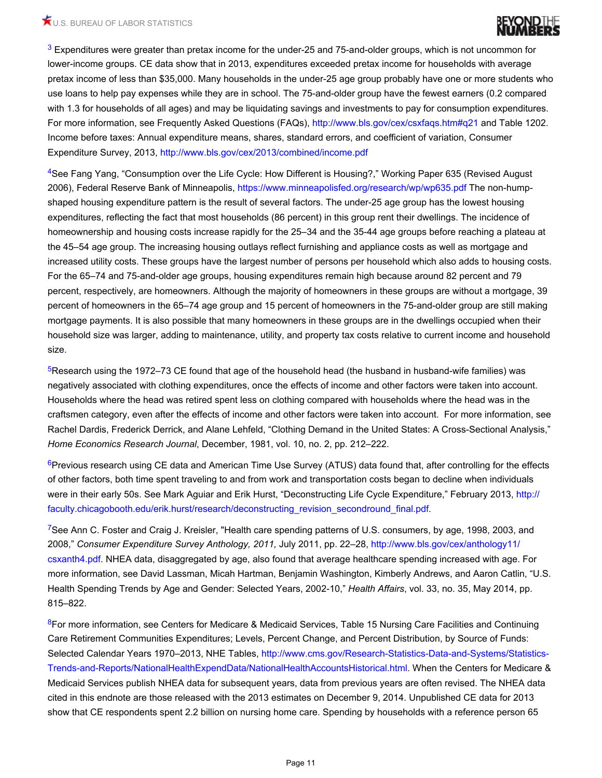

<span id="page-10-0"></span>[3](#page-0-2) Expenditures were greater than pretax income for the under-25 and 75-and-older groups, which is not uncommon for lower-income groups. CE data show that in 2013, expenditures exceeded pretax income for households with average pretax income of less than \$35,000. Many households in the under-25 age group probably have one or more students who use loans to help pay expenses while they are in school. The 75-and-older group have the fewest earners (0.2 compared with 1.3 for households of all ages) and may be liquidating savings and investments to pay for consumption expenditures. For more information, see Frequently Asked Questions (FAQs), <http://www.bls.gov/cex/csxfaqs.htm#q21>and Table 1202. Income before taxes: Annual expenditure means, shares, standard errors, and coefficient of variation, Consumer Expenditure Survey, 2013,<http://www.bls.gov/cex/2013/combined/income.pdf>

<span id="page-10-1"></span>[4](#page-2-0)See Fang Yang, "Consumption over the Life Cycle: How Different is Housing?," Working Paper 635 (Revised August 2006), Federal Reserve Bank of Minneapolis, <https://www.minneapolisfed.org/research/wp/wp635.pdf>The non-humpshaped housing expenditure pattern is the result of several factors. The under-25 age group has the lowest housing expenditures, reflecting the fact that most households (86 percent) in this group rent their dwellings. The incidence of homeownership and housing costs increase rapidly for the 25–34 and the 35-44 age groups before reaching a plateau at the 45–54 age group. The increasing housing outlays reflect furnishing and appliance costs as well as mortgage and increased utility costs. These groups have the largest number of persons per household which also adds to housing costs. For the 65–74 and 75-and-older age groups, housing expenditures remain high because around 82 percent and 79 percent, respectively, are homeowners. Although the majority of homeowners in these groups are without a mortgage, 39 percent of homeowners in the 65–74 age group and 15 percent of homeowners in the 75-and-older group are still making mortgage payments. It is also possible that many homeowners in these groups are in the dwellings occupied when their household size was larger, adding to maintenance, utility, and property tax costs relative to current income and household size.

<span id="page-10-2"></span>[5](#page-3-0)Research using the 1972–73 CE found that age of the household head (the husband in husband-wife families) was negatively associated with clothing expenditures, once the effects of income and other factors were taken into account. Households where the head was retired spent less on clothing compared with households where the head was in the craftsmen category, even after the effects of income and other factors were taken into account. For more information, see Rachel Dardis, Frederick Derrick, and Alane Lehfeld, "Clothing Demand in the United States: A Cross-Sectional Analysis," *Home Economics Research Journal*, December, 1981, vol. 10, no. 2, pp. 212–222.

<span id="page-10-3"></span>[6](#page-4-0)Previous research using CE data and American Time Use Survey (ATUS) data found that, after controlling for the effects of other factors, both time spent traveling to and from work and transportation costs began to decline when individuals were in their early 50s. See Mark Aguiar and Erik Hurst, "Deconstructing Life Cycle Expenditure," February 2013, [http://](http://faculty.chicagobooth.edu/erik.hurst/research/deconstructing_revision_secondround_final.pdf) [faculty.chicagobooth.edu/erik.hurst/research/deconstructing\\_revision\\_secondround\\_final.pdf](http://faculty.chicagobooth.edu/erik.hurst/research/deconstructing_revision_secondround_final.pdf).

<span id="page-10-4"></span><sup>[7](#page-5-0)</sup>See Ann C. Foster and Craig J. Kreisler, "Health care spending patterns of U.S. consumers, by age, 1998, 2003, and 2008," *Consumer Expenditure Survey Anthology, 2011,* July 2011, pp. 22–28, [http://www.bls.gov/cex/anthology11/](http://www.bls.gov/cex/anthology11/csxanth4.pdf) [csxanth4.pdf](http://www.bls.gov/cex/anthology11/csxanth4.pdf). NHEA data, disaggregated by age, also found that average healthcare spending increased with age. For more information, see David Lassman, Micah Hartman, Benjamin Washington, Kimberly Andrews, and Aaron Catlin, "U.S. Health Spending Trends by Age and Gender: Selected Years, 2002-10," *Health Affairs*, vol. 33, no. 35, May 2014, pp. 815–822.

<span id="page-10-5"></span>[8](#page-5-1)For more information, see Centers for Medicare & Medicaid Services, Table 15 Nursing Care Facilities and Continuing Care Retirement Communities Expenditures; Levels, Percent Change, and Percent Distribution, by Source of Funds: Selected Calendar Years 1970–2013, NHE Tables, [http://www.cms.gov/Research-Statistics-Data-and-Systems/Statistics-](http://www.cms.gov/Research-Statistics-Data-and-Systems/Statistics-Trends-and-Reports/NationalHealthExpendData/NationalHealthAccountsHistorical.html)[Trends-and-Reports/NationalHealthExpendData/NationalHealthAccountsHistorical.html](http://www.cms.gov/Research-Statistics-Data-and-Systems/Statistics-Trends-and-Reports/NationalHealthExpendData/NationalHealthAccountsHistorical.html). When the Centers for Medicare & Medicaid Services publish NHEA data for subsequent years, data from previous years are often revised. The NHEA data cited in this endnote are those released with the 2013 estimates on December 9, 2014. Unpublished CE data for 2013 show that CE respondents spent 2.2 billion on nursing home care. Spending by households with a reference person 65